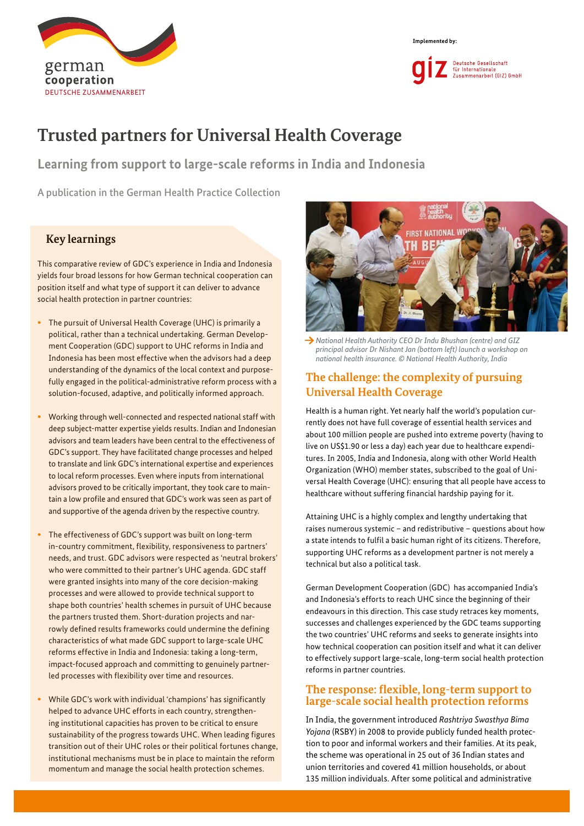



# **Trusted partners for Universal Health Coverage**

**Learning from support to large-scale reforms in India and Indonesia**

A publication in the German Health Practice Collection

#### **Key learnings**

This comparative review of GDC's experience in India and Indonesia yields four broad lessons for how German technical cooperation can position itself and what type of support it can deliver to advance social health protection in partner countries:

- The pursuit of Universal Health Coverage (UHC) is primarily a political, rather than a technical undertaking. German Development Cooperation (GDC) support to UHC reforms in India and Indonesia has been most effective when the advisors had a deep understanding of the dynamics of the local context and purposefully engaged in the political-administrative reform process with a solution-focused, adaptive, and politically informed approach.
- Working through well-connected and respected national staff with deep subject-matter expertise yields results. Indian and Indonesian advisors and team leaders have been central to the effectiveness of GDC's support. They have facilitated change processes and helped to translate and link GDC's international expertise and experiences to local reform processes. Even where inputs from international advisors proved to be critically important, they took care to maintain a low profile and ensured that GDC's work was seen as part of and supportive of the agenda driven by the respective country.
- The effectiveness of GDC's support was built on long-term in-country commitment, flexibility, responsiveness to partners' needs, and trust. GDC advisors were respected as 'neutral brokers' who were committed to their partner's UHC agenda. GDC staff were granted insights into many of the core decision-making processes and were allowed to provide technical support to shape both countries' health schemes in pursuit of UHC because the partners trusted them. Short-duration projects and narrowly defined results frameworks could undermine the defining characteristics of what made GDC support to large-scale UHC reforms effective in India and Indonesia: taking a long-term, impact-focused approach and committing to genuinely partnerled processes with flexibility over time and resources.
- While GDC's work with individual 'champions' has significantly helped to advance UHC efforts in each country, strengthening institutional capacities has proven to be critical to ensure sustainability of the progress towards UHC. When leading figures transition out of their UHC roles or their political fortunes change, institutional mechanisms must be in place to maintain the reform momentum and manage the social health protection schemes.



*National Health Authority CEO Dr Indu Bhushan (centre) and GIZ principal advisor Dr Nishant Jan (bottom left) launch a workshop on national health insurance. © National Health Authority, India*

### **The challenge: the complexity of pursuing Universal Health Coverage**

Health is a human right. Yet nearly half the world's population currently does not have full coverage of essential health services and about 100 million people are pushed into extreme poverty (having to live on US\$1.90 or less a day) each year due to healthcare expenditures. In 2005, India and Indonesia, along with other World Health Organization (WHO) member states, subscribed to the goal of Universal Health Coverage (UHC): ensuring that all people have access to healthcare without suffering financial hardship paying for it.

Attaining UHC is a highly complex and lengthy undertaking that raises numerous systemic – and redistributive – questions about how a state intends to fulfil a basic human right of its citizens. Therefore, supporting UHC reforms as a development partner is not merely a technical but also a political task.

German Development Cooperation (GDC) has accompanied India's and Indonesia's efforts to reach UHC since the beginning of their endeavours in this direction. This case study retraces key moments, successes and challenges experienced by the GDC teams supporting the two countries' UHC reforms and seeks to generate insights into how technical cooperation can position itself and what it can deliver to effectively support large-scale, long-term social health protection reforms in partner countries.

#### **The response: flexible, long-term support to large-scale social health protection reforms**

In India, the government introduced *Rashtriya Swasthya Bima Yojana* (RSBY) in 2008 to provide publicly funded health protection to poor and informal workers and their families. At its peak, the scheme was operational in 25 out of 36 Indian states and union territories and covered 41 million households, or about 135 million individuals. After some political and administrative